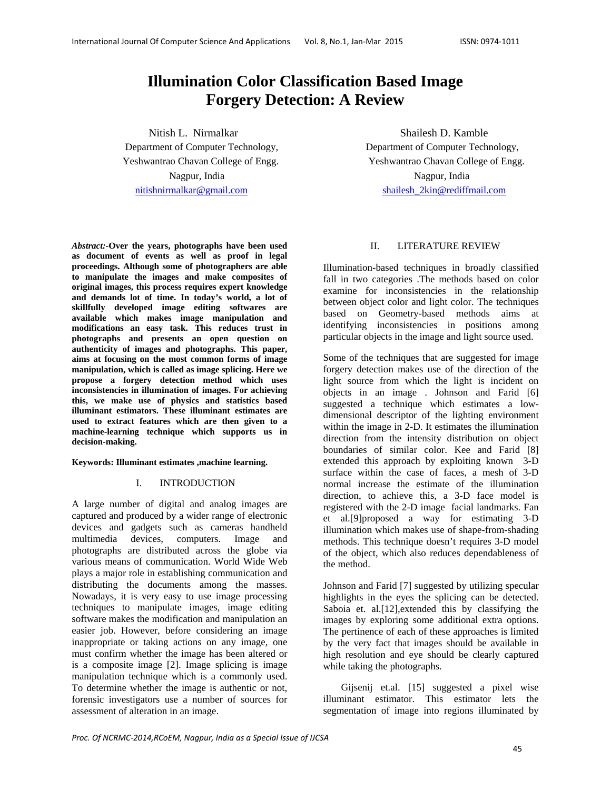# **Illumination Color Classification Based Image Forgery Detection: A Review**

Nitish L. Nirmalkar Shailesh D. Kamble Department of Computer Technology, Department of Computer Technology, Nagpur, India Nagpur, India nitishnirmalkar@gmail.com shailesh\_2kin@rediffmail.com

*Abstract:-***Over the years, photographs have been used as document of events as well as proof in legal proceedings. Although some of photographers are able to manipulate the images and make composites of original images, this process requires expert knowledge and demands lot of time. In today's world, a lot of skillfully developed image editing softwares are available which makes image manipulation and modifications an easy task. This reduces trust in photographs and presents an open question on authenticity of images and photographs. This paper, aims at focusing on the most common forms of image manipulation, which is called as image splicing. Here we propose a forgery detection method which uses inconsistencies in illumination of images. For achieving this, we make use of physics and statistics based illuminant estimators. These illuminant estimates are used to extract features which are then given to a machine-learning technique which supports us in decision-making.** 

**Keywords: Illuminant estimates ,machine learning.** 

# I. INTRODUCTION

A large number of digital and analog images are captured and produced by a wider range of electronic devices and gadgets such as cameras handheld multimedia devices, computers. Image and photographs are distributed across the globe via various means of communication. World Wide Web plays a major role in establishing communication and distributing the documents among the masses. Nowadays, it is very easy to use image processing techniques to manipulate images, image editing software makes the modification and manipulation an easier job. However, before considering an image inappropriate or taking actions on any image, one must confirm whether the image has been altered or is a composite image [2]. Image splicing is image manipulation technique which is a commonly used. To determine whether the image is authentic or not, forensic investigators use a number of sources for assessment of alteration in an image.

Yeshwantrao Chavan College of Engg. Yeshwantrao Chavan College of Engg.

# II. LITERATURE REVIEW

Illumination-based techniques in broadly classified fall in two categories .The methods based on color examine for inconsistencies in the relationship between object color and light color. The techniques based on Geometry-based methods aims at identifying inconsistencies in positions among particular objects in the image and light source used.

Some of the techniques that are suggested for image forgery detection makes use of the direction of the light source from which the light is incident on objects in an image . Johnson and Farid [6] suggested a technique which estimates a lowdimensional descriptor of the lighting environment within the image in 2-D. It estimates the illumination direction from the intensity distribution on object boundaries of similar color. Kee and Farid [8] extended this approach by exploiting known 3-D surface within the case of faces, a mesh of 3-D normal increase the estimate of the illumination direction, to achieve this, a 3-D face model is registered with the 2-D image facial landmarks. Fan et al.[9]proposed a way for estimating 3-D illumination which makes use of shape-from-shading methods. This technique doesn't requires 3-D model of the object, which also reduces dependableness of the method.

Johnson and Farid [7] suggested by utilizing specular highlights in the eyes the splicing can be detected. Saboia et. al.[12],extended this by classifying the images by exploring some additional extra options. The pertinence of each of these approaches is limited by the very fact that images should be available in high resolution and eye should be clearly captured while taking the photographs.

Gijsenij et.al. [15] suggested a pixel wise illuminant estimator. This estimator lets the segmentation of image into regions illuminated by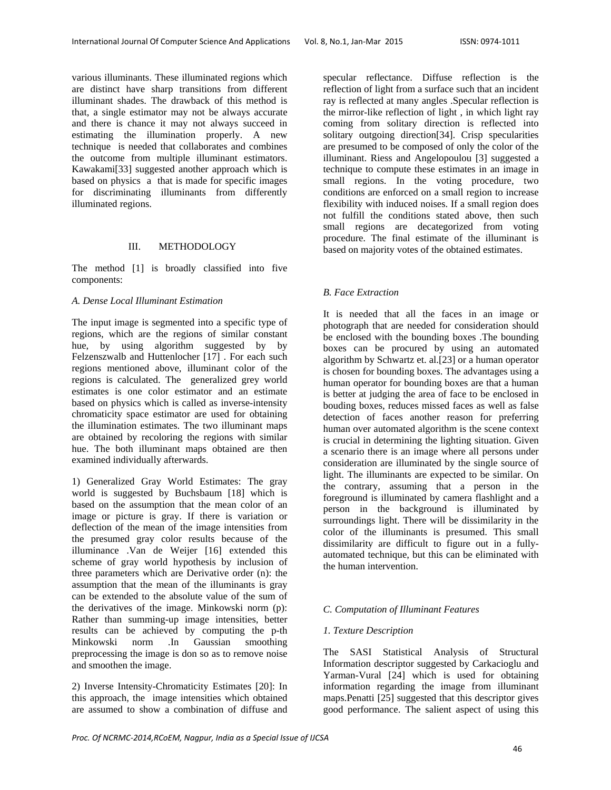various illuminants. These illuminated regions which are distinct have sharp transitions from different illuminant shades. The drawback of this method is that, a single estimator may not be always accurate and there is chance it may not always succeed in estimating the illumination properly. A new technique is needed that collaborates and combines the outcome from multiple illuminant estimators. Kawakami[33] suggested another approach which is based on physics a that is made for specific images for discriminating illuminants from differently illuminated regions.

# III. METHODOLOGY

The method [1] is broadly classified into five components:

#### *A. Dense Local Illuminant Estimation*

The input image is segmented into a specific type of regions, which are the regions of similar constant hue, by using algorithm suggested by by Felzenszwalb and Huttenlocher [17] . For each such regions mentioned above, illuminant color of the regions is calculated. The generalized grey world estimates is one color estimator and an estimate based on physics which is called as inverse-intensity chromaticity space estimator are used for obtaining the illumination estimates. The two illuminant maps are obtained by recoloring the regions with similar hue. The both illuminant maps obtained are then examined individually afterwards.

1) Generalized Gray World Estimates: The gray world is suggested by Buchsbaum [18] which is based on the assumption that the mean color of an image or picture is gray. If there is variation or deflection of the mean of the image intensities from the presumed gray color results because of the illuminance .Van de Weijer [16] extended this scheme of gray world hypothesis by inclusion of three parameters which are Derivative order (n): the assumption that the mean of the illuminants is gray can be extended to the absolute value of the sum of the derivatives of the image. Minkowski norm (p): Rather than summing-up image intensities, better results can be achieved by computing the p-th Minkowski norm .In Gaussian smoothing preprocessing the image is don so as to remove noise and smoothen the image.

2) Inverse Intensity-Chromaticity Estimates [20]: In this approach, the image intensities which obtained are assumed to show a combination of diffuse and

specular reflectance. Diffuse reflection is the reflection of light from a surface such that an incident ray is reflected at many angles .Specular reflection is the mirror-like reflection of light , in which light ray coming from solitary direction is reflected into solitary outgoing direction[34]. Crisp specularities are presumed to be composed of only the color of the illuminant. Riess and Angelopoulou [3] suggested a technique to compute these estimates in an image in small regions. In the voting procedure, two conditions are enforced on a small region to increase flexibility with induced noises. If a small region does not fulfill the conditions stated above, then such small regions are decategorized from voting procedure. The final estimate of the illuminant is based on majority votes of the obtained estimates.

#### *B. Face Extraction*

It is needed that all the faces in an image or photograph that are needed for consideration should be enclosed with the bounding boxes .The bounding boxes can be procured by using an automated algorithm by Schwartz et. al.[23] or a human operator is chosen for bounding boxes. The advantages using a human operator for bounding boxes are that a human is better at judging the area of face to be enclosed in bouding boxes, reduces missed faces as well as false detection of faces another reason for preferring human over automated algorithm is the scene context is crucial in determining the lighting situation. Given a scenario there is an image where all persons under consideration are illuminated by the single source of light. The illuminants are expected to be similar. On the contrary, assuming that a person in the foreground is illuminated by camera flashlight and a person in the background is illuminated by surroundings light. There will be dissimilarity in the color of the illuminants is presumed. This small dissimilarity are difficult to figure out in a fullyautomated technique, but this can be eliminated with the human intervention.

#### *C. Computation of Illuminant Features*

#### *1. Texture Description*

The SASI Statistical Analysis of Structural Information descriptor suggested by Carkacioglu and Yarman-Vural [24] which is used for obtaining information regarding the image from illuminant maps.Penatti [25] suggested that this descriptor gives good performance. The salient aspect of using this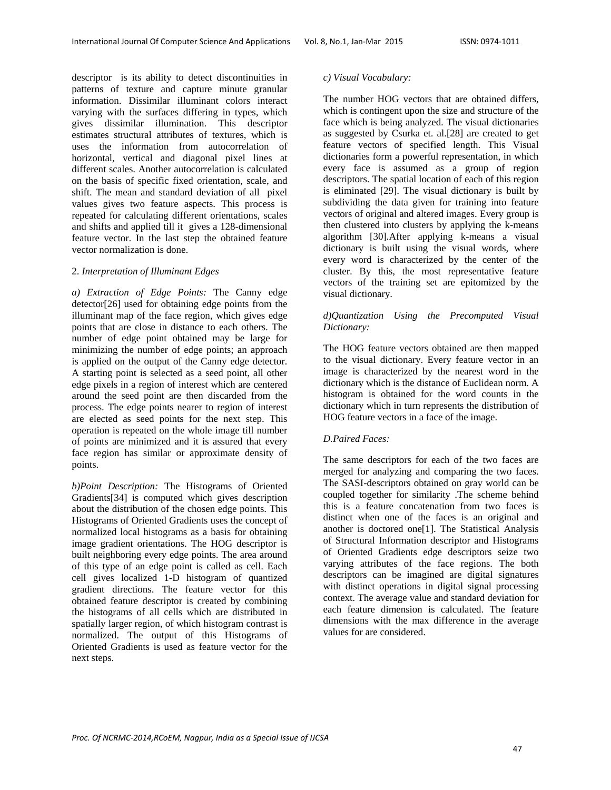descriptor is its ability to detect discontinuities in patterns of texture and capture minute granular information. Dissimilar illuminant colors interact varying with the surfaces differing in types, which gives dissimilar illumination. This descriptor estimates structural attributes of textures, which is uses the information from autocorrelation of horizontal, vertical and diagonal pixel lines at different scales. Another autocorrelation is calculated on the basis of specific fixed orientation, scale, and shift. The mean and standard deviation of all pixel values gives two feature aspects. This process is repeated for calculating different orientations, scales and shifts and applied till it gives a 128-dimensional feature vector. In the last step the obtained feature vector normalization is done.

# 2. *Interpretation of Illuminant Edges*

*a) Extraction of Edge Points:* The Canny edge detector[26] used for obtaining edge points from the illuminant map of the face region, which gives edge points that are close in distance to each others. The number of edge point obtained may be large for minimizing the number of edge points; an approach is applied on the output of the Canny edge detector. A starting point is selected as a seed point, all other edge pixels in a region of interest which are centered around the seed point are then discarded from the process. The edge points nearer to region of interest are elected as seed points for the next step. This operation is repeated on the whole image till number of points are minimized and it is assured that every face region has similar or approximate density of points.

*b)Point Description:* The Histograms of Oriented Gradients[34] is computed which gives description about the distribution of the chosen edge points. This Histograms of Oriented Gradients uses the concept of normalized local histograms as a basis for obtaining image gradient orientations. The HOG descriptor is built neighboring every edge points. The area around of this type of an edge point is called as cell. Each cell gives localized 1-D histogram of quantized gradient directions. The feature vector for this obtained feature descriptor is created by combining the histograms of all cells which are distributed in spatially larger region, of which histogram contrast is normalized. The output of this Histograms of Oriented Gradients is used as feature vector for the next steps.

## *c) Visual Vocabulary:*

The number HOG vectors that are obtained differs, which is contingent upon the size and structure of the face which is being analyzed. The visual dictionaries as suggested by Csurka et. al.[28] are created to get feature vectors of specified length. This Visual dictionaries form a powerful representation, in which every face is assumed as a group of region descriptors. The spatial location of each of this region is eliminated [29]. The visual dictionary is built by subdividing the data given for training into feature vectors of original and altered images. Every group is then clustered into clusters by applying the k-means algorithm [30].After applying k-means a visual dictionary is built using the visual words, where every word is characterized by the center of the cluster. By this, the most representative feature vectors of the training set are epitomized by the visual dictionary.

# *d)Quantization Using the Precomputed Visual Dictionary:*

The HOG feature vectors obtained are then mapped to the visual dictionary. Every feature vector in an image is characterized by the nearest word in the dictionary which is the distance of Euclidean norm. A histogram is obtained for the word counts in the dictionary which in turn represents the distribution of HOG feature vectors in a face of the image.

# *D.Paired Faces:*

The same descriptors for each of the two faces are merged for analyzing and comparing the two faces. The SASI-descriptors obtained on gray world can be coupled together for similarity .The scheme behind this is a feature concatenation from two faces is distinct when one of the faces is an original and another is doctored one[1]. The Statistical Analysis of Structural Information descriptor and Histograms of Oriented Gradients edge descriptors seize two varying attributes of the face regions. The both descriptors can be imagined are digital signatures with distinct operations in digital signal processing context. The average value and standard deviation for each feature dimension is calculated. The feature dimensions with the max difference in the average values for are considered.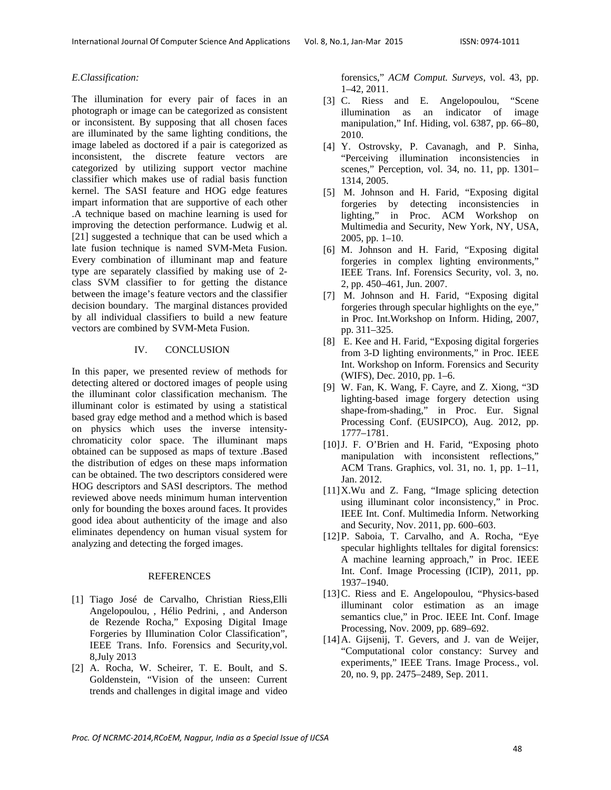# *E.Classification:*

The illumination for every pair of faces in an photograph or image can be categorized as consistent or inconsistent. By supposing that all chosen faces are illuminated by the same lighting conditions, the image labeled as doctored if a pair is categorized as inconsistent, the discrete feature vectors are categorized by utilizing support vector machine classifier which makes use of radial basis function kernel. The SASI feature and HOG edge features impart information that are supportive of each other .A technique based on machine learning is used for improving the detection performance. Ludwig et al. [21] suggested a technique that can be used which a late fusion technique is named SVM-Meta Fusion. Every combination of illuminant map and feature type are separately classified by making use of 2 class SVM classifier to for getting the distance between the image's feature vectors and the classifier decision boundary. The marginal distances provided by all individual classifiers to build a new feature vectors are combined by SVM-Meta Fusion.

#### IV. CONCLUSION

In this paper, we presented review of methods for detecting altered or doctored images of people using the illuminant color classification mechanism. The illuminant color is estimated by using a statistical based gray edge method and a method which is based on physics which uses the inverse intensitychromaticity color space. The illuminant maps obtained can be supposed as maps of texture .Based the distribution of edges on these maps information can be obtained. The two descriptors considered were HOG descriptors and SASI descriptors. The method reviewed above needs minimum human intervention only for bounding the boxes around faces. It provides good idea about authenticity of the image and also eliminates dependency on human visual system for analyzing and detecting the forged images.

#### REFERENCES

- [1] Tiago José de Carvalho, Christian Riess,Elli Angelopoulou, , Hélio Pedrini, , and Anderson de Rezende Rocha," Exposing Digital Image Forgeries by Illumination Color Classification", IEEE Trans. Info. Forensics and Security,vol. 8,July 2013
- [2] A. Rocha, W. Scheirer, T. E. Boult, and S. Goldenstein, "Vision of the unseen: Current trends and challenges in digital image and video

forensics," *ACM Comput. Surveys*, vol. 43, pp. 1–42, 2011.

- [3] C. Riess and E. Angelopoulou, "Scene illumination as an indicator of image manipulation," Inf. Hiding, vol. 6387, pp. 66–80, 2010.
- [4] Y. Ostrovsky, P. Cavanagh, and P. Sinha, "Perceiving illumination inconsistencies in scenes," Perception, vol. 34, no. 11, pp. 1301– 1314, 2005.
- [5] M. Johnson and H. Farid, "Exposing digital forgeries by detecting inconsistencies in lighting," in Proc. ACM Workshop on Multimedia and Security, New York, NY, USA, 2005, pp. 1–10.
- [6] M. Johnson and H. Farid, "Exposing digital forgeries in complex lighting environments," IEEE Trans. Inf. Forensics Security, vol. 3, no. 2, pp. 450–461, Jun. 2007.
- [7] M. Johnson and H. Farid, "Exposing digital forgeries through specular highlights on the eye," in Proc. Int.Workshop on Inform. Hiding, 2007, pp. 311–325.
- [8] E. Kee and H. Farid, "Exposing digital forgeries from 3-D lighting environments," in Proc. IEEE Int. Workshop on Inform. Forensics and Security (WIFS), Dec. 2010, pp. 1–6.
- [9] W. Fan, K. Wang, F. Cayre, and Z. Xiong, "3D lighting-based image forgery detection using shape-from-shading," in Proc. Eur. Signal Processing Conf. (EUSIPCO), Aug. 2012, pp. 1777–1781.
- [10]J. F. O'Brien and H. Farid, "Exposing photo manipulation with inconsistent reflections," ACM Trans. Graphics, vol. 31, no. 1, pp. 1–11, Jan. 2012.
- [11]X.Wu and Z. Fang, "Image splicing detection using illuminant color inconsistency," in Proc. IEEE Int. Conf. Multimedia Inform. Networking and Security, Nov. 2011, pp. 600–603.
- [12]P. Saboia, T. Carvalho, and A. Rocha, "Eye specular highlights telltales for digital forensics: A machine learning approach," in Proc. IEEE Int. Conf. Image Processing (ICIP), 2011, pp. 1937–1940.
- [13] C. Riess and E. Angelopoulou, "Physics-based illuminant color estimation as an image semantics clue," in Proc. IEEE Int. Conf. Image Processing, Nov. 2009, pp. 689–692.
- [14]A. Gijsenij, T. Gevers, and J. van de Weijer, "Computational color constancy: Survey and experiments," IEEE Trans. Image Process., vol. 20, no. 9, pp. 2475–2489, Sep. 2011.